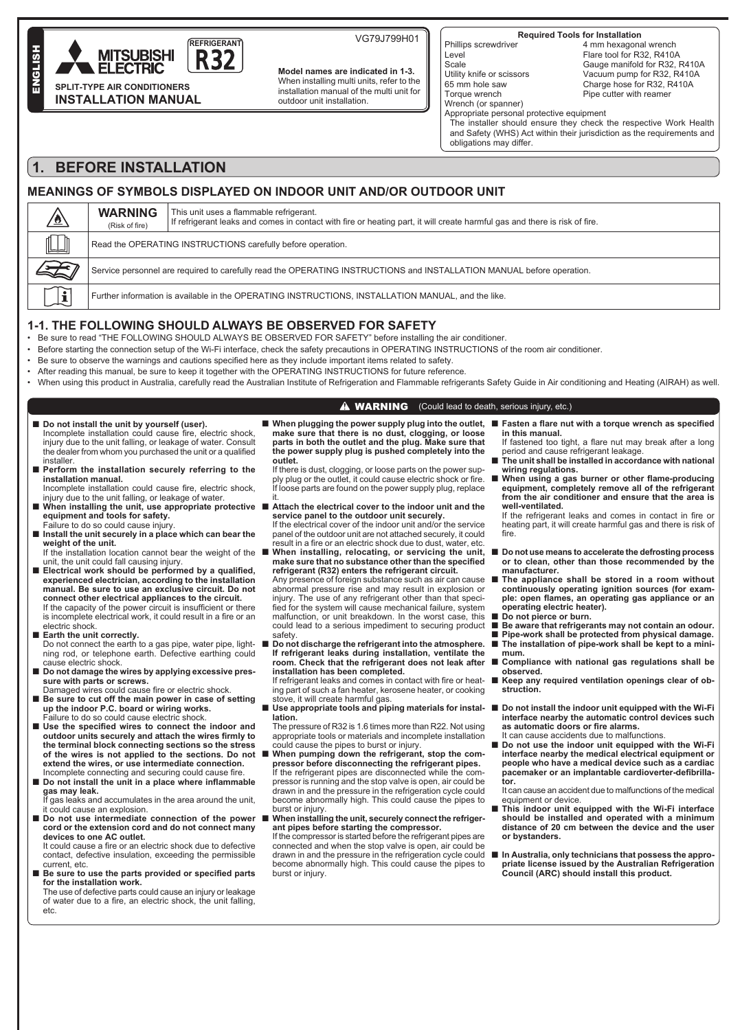

**Model names are indicated in 1-3.** When installing multi units, refer to the installation manual of the multi unit for outdoor unit installation.

VG79J799H01 **Required Tools for Installation**

Phillips screwdriver Level **Scale** Utility knife or scissors 65 mm hole saw Torque wrench Wrench (or spanner)

4 mm hexagonal wrench Flare tool for R32, R410A Gauge manifold for R32, R410A Vacuum pump for R32, R410A Charge hose for R32, R410A Pipe cutter with reamer

Appropriate personal protective equipment

The installer should ensure they check the respective Work Health and Safety (WHS) Act within their jurisdiction as the requirements and obligations may differ.

# **1. BEFORE INSTALLATION**

**INSTALLATION MANUAL**

ENGLISH

ENGLIS

## **MEANINGS OF SYMBOLS DISPLAYED ON INDOOR UNIT AND/OR OUTDOOR UNIT**

| $\mathbb{L}$<br>$\mathbb{R}$<br>Read the OPERATING INSTRUCTIONS carefully before operation.<br>Service personnel are required to carefully read the OPERATING INSTRUCTIONS and INSTALLATION MANUAL before operation. |  | <b>WARNING</b><br>This unit uses a flammable refrigerant.<br>If refrigerant leaks and comes in contact with fire or heating part, it will create harmful gas and there is risk of fire.<br>(Risk of fire) |  |  |  |  |  |
|----------------------------------------------------------------------------------------------------------------------------------------------------------------------------------------------------------------------|--|-----------------------------------------------------------------------------------------------------------------------------------------------------------------------------------------------------------|--|--|--|--|--|
|                                                                                                                                                                                                                      |  |                                                                                                                                                                                                           |  |  |  |  |  |
|                                                                                                                                                                                                                      |  |                                                                                                                                                                                                           |  |  |  |  |  |
| Further information is available in the OPERATING INSTRUCTIONS, INSTALLATION MANUAL, and the like.                                                                                                                   |  |                                                                                                                                                                                                           |  |  |  |  |  |

### **1-1. THE FOLLOWING SHOULD ALWAYS BE OBSERVED FOR SAFETY**

• Be sure to read "THE FOLLOWING SHOULD ALWAYS BE OBSERVED FOR SAFETY" before installing the air conditioner.

- Before starting the connection setup of the Wi-Fi interface, check the safety precautions in OPERATING INSTRUCTIONS of the room air conditioner.
- . Be sure to observe the warnings and cautions specified here as they include important items related to safety.
- After reading this manual, be sure to keep it together with the OPERATING INSTRUCTIONS for future reference.
- When using this product in Australia, carefully read the Australian Institute of Refrigeration and Flammable refrigerants Safety Guide in Air conditioning and Heating (AIRAH) as well.

### **A WARNING** (Could lead to death, serious injury, etc.)

- Do not install the unit by yourself (user). no could cause fire. electric shock. injury due to the unit falling, or leakage of water. Consult
- the dealer from whom you purchased the unit or a qualified installer.
- Perform the installation securely referring to the **installation manual.** Incomplete installation could cause fire, electric shock.
- injury due to the unit falling, or leakage of water. ■ When installing the unit, use appropriate protective ■ Attach the electrical cover to the indoor unit and the **equipment and tools for safety.**
- Failure to do so could cause injury. ■ Install the unit securely in a place which can bear the
- **weight of the unit.** If the installation location cannot bear the weight of the unit, the unit could fall causing injury.
- **Electrical work should be performed by a qualified,** experienced electrician, according to the installation **manual. Be sure to use an exclusive circuit. Do not connect other electrical appliances to the circuit.**<br>If the capacity of the power circuit is insufficient or there is incomplete electrical work, it could result in a fire or an electric shock.
- **Earth the unit correctly.**
- Do not connect the earth to a gas pipe, water pipe, lightning rod, or telephone earth. Defective earthing could cause electric shock.
- **Do not damage the wires by applying excessive pressure with parts or screws.**<br>Damaged wires could cause fire or electric shock.
- **Be sure to cut off the main power in case of setting up the indoor P.C. board or wiring works.** Failure to do so could cause electric shock.
- Use the specified wires to connect the indoor and outdoor units securely and attach the wires firmly to<br>the terminal block connecting sections so the stress **of the wires is not applied to the sections. Do not extend the wires, or use intermediate connection.**<br>Incomplete connecting and securing could cause fire.
- **Do not install the unit in a place where inflammable gas may leak.** If gas leaks and accumulates in the area around the unit,

it could cause an explosion.

- Do not use intermediate connection of the power **cord or the extension cord and do not connect many devices to one AC outlet.** It could cause a fire or an electric shock due to defective
- contact, defective insulation, exceeding the permissible current, etc. ■ Be sure to use the parts provided or specified parts
- **for the installation work.** The use of defective parts could cause an injury or leakage

of water due to a fire, an electric shock, the unit falling, etc.

■ When plugging the power supply plug into the outlet, **make sure that there is no dust, clogging, or loose parts in both the outlet and the plug. Make sure that the power supply plug is pushed completely into the outlet.**

 If there is dust, clogging, or loose parts on the power supply plug or the outlet, it could cause electric shock or fire. If loose parts are found on the power supply plug, replace it.

- **service panel to the outdoor unit securely.** If the electrical cover of the indoor unit and/or the service panel of the outdoor unit are not attached securely, it could
- result in a fire or an electric shock due to dust, water, etc When installing, relocating, or servicing the unit, make sure that no substance other than the specified **refrigerant (R32) enters the refrigerant circuit.**

 Any presence of foreign substance such as air can cause abnormal pressure rise and may result in explosion or injury. The use of any refrigerant other than that specified for the system will cause mechanical failure, system malfunction, or unit breakdown. In the worst case, this could lead to a serious impediment to securing product safety

Do not discharge the refrigerant into the atmosphere. **If refrigerant leaks during installation, ventilate the room. Check that the refrigerant does not leak after installation has been completed.**

If refrigerant leaks and comes in contact with fire or heatin reingerun reality and center, kerosene heater, or cooking stove, it will create harmful gas.

■ Use appropriate tools and piping materials for instal- ■ Do not install the indoor unit equipped with the Wi-Fi **lation.**

 The pressure of R32 is 1.6 times more than R22. Not using appropriate tools or materials and incomplete installation could cause the pipes to burst or injury.

- When pumping down the refrigerant, stop the com**pressor before disconnecting the refrigerant pipes.** If the refrigerant pipes are disconnected while the compressor is running and the stop valve is open, air could be drawn in and the pressure in the refrigeration cycle could become abnormally high. This could cause the pipes to burst or injury.
- When installing the unit, securely connect the refriger**ant pipes before starting the compressor.** If the compressor is started before the refrigerant pipes are

connected and when the stop valve is open, air could be drawn in and the pressure in the refrigeration cycle could become abnormally high. This could cause the pipes to burst or injury.

- Fasten a flare nut with a torque wrench as specified **in this manual.**
	- If fastened too tight, a flare nut may break after a long period and cause refrigerant leakage
- **The unit shall be installed in accordance with national wiring regulations.**
- When using a gas burner or other flame-producing **equipment, completely remove all of the refrigerant from the air conditioner and ensure that the area is well-ventilated.**

If the refrigerant leaks and comes in contact in fire or heating part, it will create harmful gas and there is risk of fir $\epsilon$ 

- **Do not use means to accelerate the defrosting process or to clean, other than those recommended by the manufacturer.**
- The appliance shall be stored in a room without **continuously operating ignition sources (for exam-SOMETHERWOODS, SOFTWARE SUPPORT CONSUMING SOCIAL PROPERTY OF A SOFTWARE SOFTWARE SOFTWARE SOFTWARE SOFTWARE SOFTWARE SOFTWARE SOFTWARE SOFTWARE SOFTWARE SOFTWARE SOFTWARE SOFTWARE SOFTWARE SOFTWARE SOFTWARE SOFTWARE SOFTW operating electric heater).**
- **Do not pierce or burn.**
- **Be aware that refrigerants may not contain an odour.**
- **Pipe-work shall be protected from physical damage.** ■ The installation of pipe-work shall be kept to a mini-
- **mum.** ■ **Compliance with national gas regulations shall be**
- **observed. Keep any required ventilation openings clear of obstruction.**
- **interface nearby the automatic control devices such**  as automatic doors or fire alarms.
- It can cause accidents due to malfunctions.
- **Do not use the indoor unit equipped with the Wi-Fi interface nearby the medical electrical equipment or people who have a medical device such as a cardiac BUCK SPFIPLE INTERNATION SUPPOSE CONDUCT CONDUCT CONDUCT CONDUCT CONDUCT CONDUCT CONDUCT CONDUCT CONDUCT CONDUCT CONDUCT CONDUCT CONDUCT CONDUCT CONDUCT CONDUCT CONDUCT CONDUCT CONDUC tor.**

 It can cause an accident due to malfunctions of the medical equipment or device.

- This indoor unit equipped with the Wi-Fi interface **should be installed and operated with a minimum distance of 20 cm between the device and the user or bystanders.**
- In Australia, only technicians that possess the appro**priate license issued by the Australian Refrigeration Council (ARC) should install this product.**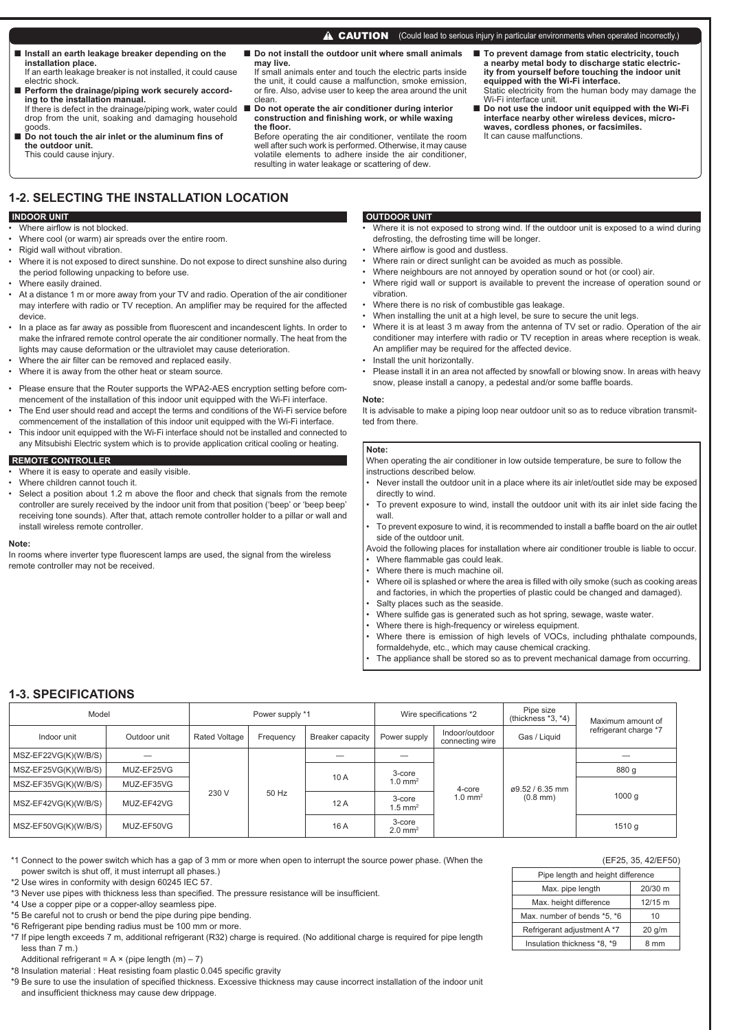■ Install an earth leakage breaker depending on the **installation place.** If an earth leakage breaker is not installed, it could cause

electric shock. ■ Perform the drainage/piping work securely accord-

- **ing to the installation manual.** If there is defect in the drainage/piping work, water could ■ **Do not operate the air conditioner during interior**  drop from the unit, soaking and damaging household
- goods. ■ Do not touch the air inlet or the aluminum fins of **the outdoor unit.** This could cause injury.
- Do not install the outdoor unit where small animals **may live.**

If small animals enter and touch the electric parts inside the unit, it could cause a malfunction, smoke emission, or fire. Also, advise user to keep the area around the unit clean.

construction and finishing work, or while waxing the floor.

 Before operating the air conditioner, ventilate the room well after such work is performed. Otherwise, it may cause volatile elements to adhere inside the air conditioner, resulting in water leakage or scattering of dew.

- **To prevent damage from static electricity, touch a nearby metal body to discharge static electric-ity from yourself before touching the indoor unit equipped with the Wi-Fi interface.**
- Static electricity from the human body may damage the Wi-Fi interface unit. ■ **Do not use the indoor unit equipped with the Wi-Fi interface nearby other wireless devices, micro-waves, cordless phones, or facsimiles.**

# It can cause malfunctions.

## **1-2. SELECTING THE INSTALLATION LOCATION**

### **INDOOR UNIT**

- Where airflow is not blocked.
- Where cool (or warm) air spreads over the entire room.
- Rigid wall without vibration.
- Where it is not exposed to direct sunshine. Do not expose to direct sunshine also during the period following unpacking to before use.
- Where easily drained.
- At a distance 1 m or more away from your TV and radio. Operation of the air conditioner may interfere with radio or TV reception. An amplifier may be required for the affected device.
- In a place as far away as possible from fluorescent and incandescent lights. In order to make the infrared remote control operate the air conditioner normally. The heat from the lights may cause deformation or the ultraviolet may cause deterioration.
- Where the air filter can be removed and replaced easily.
- Where it is away from the other heat or steam source.
- Please ensure that the Router supports the WPA2-AES encryption setting before commencement of the installation of this indoor unit equipped with the Wi-Fi interface.
- The End user should read and accept the terms and conditions of the Wi-Fi service before commencement of the installation of this indoor unit equipped with the Wi-Fi interface.
- This indoor unit equipped with the Wi-Fi interface should not be installed and connected to any Mitsubishi Electric system which is to provide application critical cooling or heating.

### **REMOTE CONTROLLER**

- Where it is easy to operate and easily visible.
- Where children cannot touch it.
- Select a position about 1.2 m above the floor and check that signals from the remote controller are surely received by the indoor unit from that position ('beep' or 'beep beep' receiving tone sounds). After that, attach remote controller holder to a pillar or wall and install wireless remote controller.

#### **Note:**

In rooms where inverter type fluorescent lamps are used, the signal from the wireless remote controller may not be received.

## **OUTDOOR UNIT**

- Where it is not exposed to strong wind. If the outdoor unit is exposed to a wind during defrosting, the defrosting time will be longer.
- Where airflow is good and dustless.
- Where rain or direct sunlight can be avoided as much as possible.

**A CAUTION** (Could lead to serious injury in particular environments when operated incorrectly.)

- Where neighbours are not annoyed by operation sound or hot (or cool) air.
- Where rigid wall or support is available to prevent the increase of operation sound or vibration.
- Where there is no risk of combustible gas leakage.
- When installing the unit at a high level, be sure to secure the unit legs.
- Where it is at least 3 m away from the antenna of TV set or radio. Operation of the air conditioner may interfere with radio or TV reception in areas where reception is weak. An amplifier may be required for the affected device.
- Install the unit horizontally.
- Please install it in an area not affected by snowfall or blowing snow. In areas with heavy snow, please install a canopy, a pedestal and/or some baffle boards.

#### **Note:**

It is advisable to make a piping loop near outdoor unit so as to reduce vibration transmitted from there.

### **Note:**

When operating the air conditioner in low outside temperature, be sure to follow the instructions described below.

- Never install the outdoor unit in a place where its air inlet/outlet side may be exposed directly to wind.
- To prevent exposure to wind, install the outdoor unit with its air inlet side facing the wall.
- To prevent exposure to wind, it is recommended to install a baffle board on the air outlet side of the outdoor unit.
- Avoid the following places for installation where air conditioner trouble is liable to occur. Where flammable gas could leak.
- Where there is much machine oil.
- 
- Where oil is splashed or where the area is filled with oily smoke (such as cooking areas and factories, in which the properties of plastic could be changed and damaged). Salty places such as the seaside.
- Where sulfide gas is generated such as hot spring, sewage, waste water.
- Where there is high-frequency or wireless equipment.
- Where there is emission of high levels of VOCs, including phthalate compounds, formaldehyde, etc., which may cause chemical cracking.
- The appliance shall be stored so as to prevent mechanical damage from occurring.

## **1-3. SPECIFICATIONS**

| Model                  |              | Power supply *1 |                |                  | Wire specifications *2          |                                   | Pipe size<br>(thickness $*3, *4$ )    | Maximum amount of     |  |
|------------------------|--------------|-----------------|----------------|------------------|---------------------------------|-----------------------------------|---------------------------------------|-----------------------|--|
| Indoor unit            | Outdoor unit | Rated Voltage   | Frequency      | Breaker capacity | Power supply                    | Indoor/outdoor<br>connecting wire | Gas / Liquid                          | refrigerant charge *7 |  |
| MSZ-EF22VG(K)(W/B/S)   |              |                 | 50 Hz<br>230 V |                  |                                 | 4-core<br>$1.0 \text{ mm}^2$      | ø9.52 / 6.35 mm<br>$(0.8 \text{ mm})$ |                       |  |
| MSZ-EF25VG(K)(W/B/S)   | MUZ-EF25VG   |                 |                | 10 A             | 3-core                          |                                   |                                       | 880 g                 |  |
| MSZ-EF35VG(K)(W/B/S)   | MUZ-EF35VG   |                 |                |                  | $1.0$ mm <sup>2</sup>           |                                   |                                       | 1000q                 |  |
| MSZ-EF42VG(K)(W/B/S)   | MUZ-EF42VG   |                 |                | 12A              | 3-core<br>$1.5$ mm <sup>2</sup> |                                   |                                       |                       |  |
| $MSZ-EF50VG(K)(W/B/S)$ | MUZ-EF50VG   |                 |                | 16 A             | 3-core<br>$2.0$ mm <sup>2</sup> |                                   |                                       | 1510q                 |  |

\*1 Connect to the power switch which has a gap of 3 mm or more when open to interrupt the source power phase. (When the power switch is shut off, it must interrupt all phases.)

\*2 Use wires in conformity with design 60245 IEC 57.

- \*3 Never use pipes with thickness less than specified. The pressure resistance will be insufficient.
- \*4 Use a copper pipe or a copper-alloy seamless pipe.
- \*5 Be careful not to crush or bend the pipe during pipe bending.
- \*6 Refrigerant pipe bending radius must be 100 mm or more.

\*8 Insulation material : Heat resisting foam plastic 0.045 specific gravity

\*9 Be sure to use the insulation of specified thickness. Excessive thickness may cause incorrect installation of the indoor unit and insufficient thickness may cause dew drippage.

# (EF25, 35, 42/EF50)

| Pipe length and height difference |          |  |  |  |  |
|-----------------------------------|----------|--|--|--|--|
| Max. pipe length                  | 20/30 m  |  |  |  |  |
| Max. height difference            | 12/15 m  |  |  |  |  |
| Max. number of bends *5, *6       | 10       |  |  |  |  |
| Refrigerant adjustment A *7       | $20$ g/m |  |  |  |  |
| Insulation thickness *8, *9       | 8 mm     |  |  |  |  |

<sup>\*7</sup> If pipe length exceeds 7 m, additional refrigerant (R32) charge is required. (No additional charge is required for pipe length less than 7 m.)

Additional refrigerant =  $A \times (pipe length (m) - 7)$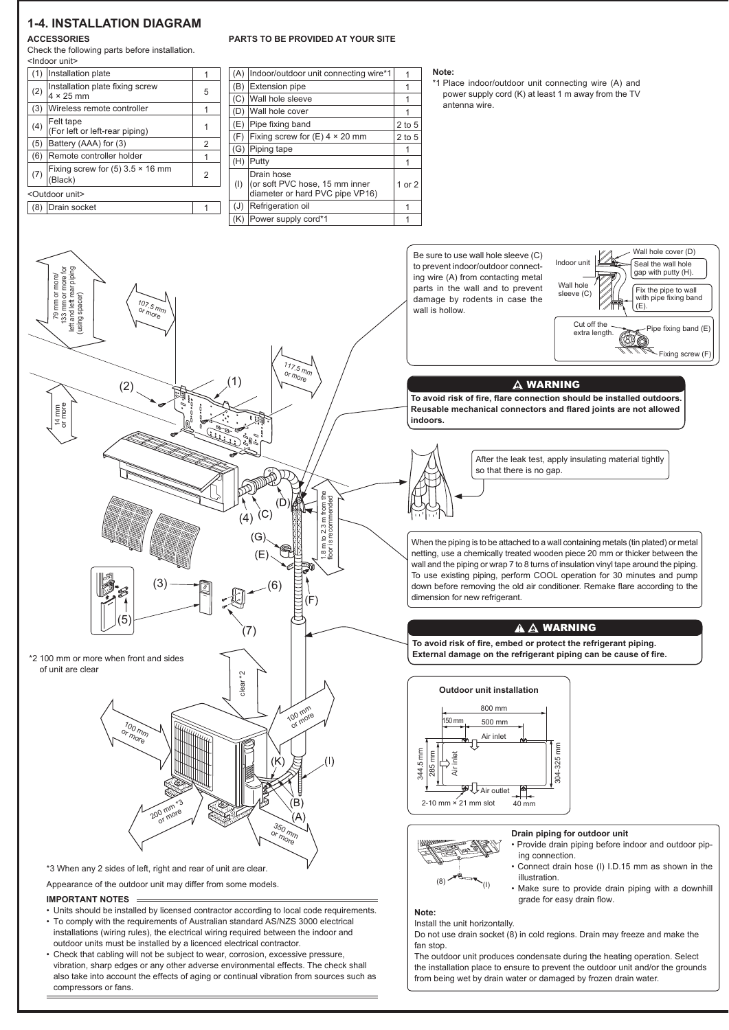## **1-4. INSTALLATION DIAGRAM**

### **ACCESSORIES**

## **PARTS TO BE PROVIDED AT YOUR SITE**

|               | <b>\CCESSORIES</b>                                             |                |     | PARTS TO BE PROVIDED AT YOUR SITE            |          |
|---------------|----------------------------------------------------------------|----------------|-----|----------------------------------------------|----------|
|               | Check the following parts before installation.<br>Indoor unit> |                |     |                                              |          |
| (1)           | Installation plate                                             |                | (A) | Indoor/outdoor unit connecting wire*1        |          |
| (2)           | Installation plate fixing screw                                | 5              | ΈB) | <b>Extension pipe</b>                        |          |
|               | $4 \times 25$ mm                                               |                | (C) | Wall hole sleeve                             |          |
|               | (3) Wireless remote controller                                 |                | (D) | Wall hole cover                              |          |
| (4)           | Felt tape<br>(For left or left-rear piping)                    |                | (E) | Pipe fixing band                             | $2$ to 5 |
|               |                                                                |                | (F) | Fixing screw for $(E)$ 4 $\times$ 20 mm      | $2$ to 5 |
|               | $(5)$ Battery (AAA) for $(3)$                                  | $\overline{2}$ |     | (G) Piping tape                              |          |
|               | (6) Remote controller holder                                   |                | (H) | Putty                                        |          |
| (7)           | Fixing screw for $(5)$ 3.5 $\times$ 16 mm<br>(Black)           | $\overline{2}$ | (1) | Drain hose<br>(or soft PVC hose, 15 mm inner | 1 or 2   |
| Outdoor unit> |                                                                |                |     | diameter or hard PVC pipe VP16)              |          |
|               | (8) Drain socket                                               |                | (J) | Refrigeration oil                            |          |
|               |                                                                |                |     |                                              |          |

### **Note:**

\*1 Place indoor/outdoor unit connecting wire (A) and power supply cord (K) at least 1 m away from the TV antenna wire.

Be sure to use wall hole sleeve (C) to prevent indoor/outdoor connecting wire (A) from contacting metal parts in the wall and to prevent damage by rodents in case the wall is hollow.



#### WARNING

To avoid risk of fire, flare connection should be installed outdoors. Reusable mechanical connectors and flared joints are not allowed **indoors.**



When the piping is to be attached to a wall containing metals (tin plated) or metal netting, use a chemically treated wooden piece 20 mm or thicker between the wall and the piping or wrap 7 to 8 turns of insulation vinyl tape around the piping. To use existing piping, perform COOL operation for 30 minutes and pump down before removing the old air conditioner. Remake flare according to the dimension for new refrigerant.

### A A WARNING

To avoid risk of fire, embed or protect the refrigerant piping. External damage on the refrigerant piping can be cause of fire.





#### **Drain piping for outdoor unit**

- Provide drain piping before indoor and outdoor piping connection.
- Connect drain hose (I) I.D.15 mm as shown in the illustration.
- Make sure to provide drain piping with a downhill grade for easy drain flow.

**Note:**

Install the unit horizontally. Do not use drain socket (8) in cold regions. Drain may freeze and make the fan stop.

The outdoor unit produces condensate during the heating operation. Select the installation place to ensure to prevent the outdoor unit and/or the grounds from being wet by drain water or damaged by frozen drain water.



\*3 When any 2 sides of left, right and rear of unit are clear.

#### **IMPORTANT NOTES**

- Units should be installed by licensed contractor according to local code requirements. • To comply with the requirements of Australian standard AS/NZS 3000 electrical installations (wiring rules), the electrical wiring required between the indoor and outdoor units must be installed by a licenced electrical contractor.
- Check that cabling will not be subject to wear, corrosion, excessive pressure, vibration, sharp edges or any other adverse environmental effects. The check shall also take into account the effects of aging or continual vibration from sources such as compressors or fans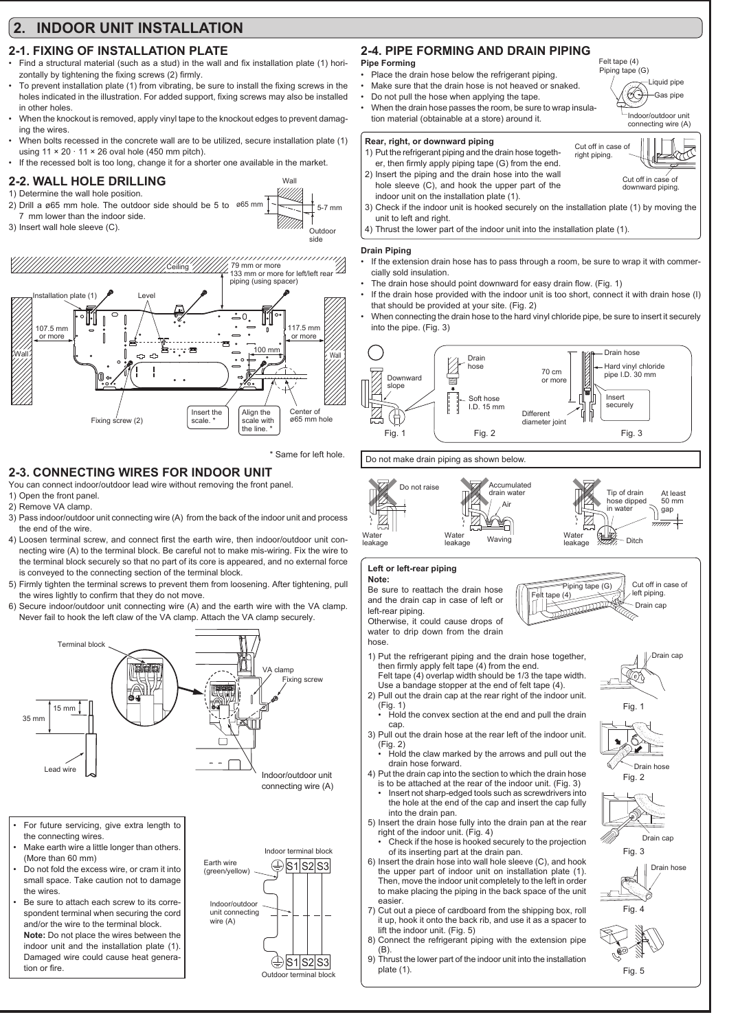# **2. INDOOR UNIT INSTALLATION**

# **2-1. FIXING OF INSTALLATION PLATE**

- Find a structural material (such as a stud) in the wall and fix installation plate (1) horizontally by tightening the fixing screws (2) firmly.
- To prevent installation plate (1) from vibrating, be sure to install the fixing screws in the holes indicated in the illustration. For added support, fixing screws may also be installed in other holes.
- When the knockout is removed, apply vinyl tape to the knockout edges to prevent damaging the wires.
- When bolts recessed in the concrete wall are to be utilized, secure installation plate (1) using  $11 \times 20 \cdot 11 \times 26$  oval hole (450 mm pitch).
- If the recessed bolt is too long, change it for a shorter one available in the market.

# **2-2. WALL HOLE DRILLING**

- 1) Determine the wall hole position.
- 2) Drill a ø65 mm hole. The outdoor side should be 5 to  $\frac{1}{1}$   $\frac{1}{2}$  =  $\frac{1}{2}$  5-7 mm 7 mm lower than the indoor side.
- 3) Insert wall hole sleeve (C).



\* Same for left hole.

Wal

VMM).

Outdoor

# **2-3. CONNECTING WIRES FOR INDOOR UNIT**

### You can connect indoor/outdoor lead wire without removing the front panel.

- 1) Open the front panel.
- 2) Remove VA clamp.
- 3) Pass indoor/outdoor unit connecting wire (A) from the back of the indoor unit and process the end of the wire.
- 4) Loosen terminal screw, and connect first the earth wire, then indoor/outdoor unit connecting wire (A) to the terminal block. Be careful not to make mis-wiring. Fix the wire to the terminal block securely so that no part of its core is appeared, and no external force is conveyed to the connecting section of the terminal block.
- 5) Firmly tighten the terminal screws to prevent them from loosening. After tightening, pull the wires lightly to confirm that they do not move.
- 6) Secure indoor/outdoor unit connecting wire (A) and the earth wire with the VA clamp. Never fail to hook the left claw of the VA clamp. Attach the VA clamp securely.



- For future servicing, give extra length to the connecting wires.
- Make earth wire a little longer than others. (More than 60 mm)
- Do not fold the excess wire, or cram it into small space. Take caution not to damage the wires.
- Be sure to attach each screw to its correspondent terminal when securing the cord and/or the wire to the terminal block. **Note:** Do not place the wires between the indoor unit and the installation plate (1).
- Damaged wire could cause heat generation or fire



# **2-4. PIPE FORMING AND DRAIN PIPING**

### **Pipe Forming**

- Place the drain hose below the refrigerant piping
- Make sure that the drain hose is not heaved or snaked. • Do not pull the hose when applying the tape.
- When the drain hose passes the room, be sure to wrap insula-
- tion material (obtainable at a store) around it.

### **Rear, right, or downward piping**

- 1) Put the refrigerant piping and the drain hose together, then firmly apply piping tape (G) from the end.
- 2) Insert the piping and the drain hose into the wall hole sleeve (C), and hook the upper part of the indoor unit on the installation plate (1).
- 3) Check if the indoor unit is hooked securely on the installation plate (1) by moving the unit to left and right.
- Thrust the lower part of the indoor unit into the installation plate (1).

### **Drain Piping**

- If the extension drain hose has to pass through a room, be sure to wrap it with commercially sold insulation.
- The drain hose should point downward for easy drain flow. (Fig. 1)
- If the drain hose provided with the indoor unit is too short, connect it with drain hose (I) that should be provided at your site. (Fig. 2)
- When connecting the drain hose to the hard vinyl chloride pipe, be sure to insert it securely into the pipe.  $(Fia, 3)$



### Do not make drain piping as shown below.



#### **Left or left-rear piping Note:**

Be sure to reattach the drain hose and the drain cap in case of left or left-rear piping.

Otherwise, it could cause drops of water to drip down from the drain hose.

- 1) Put the refrigerant piping and the drain hose together, then firmly apply felt tape (4) from the end. Felt tape (4) overlap width should be 1/3 the tape width.
- Use a bandage stopper at the end of felt tape (4). 2) Pull out the drain cap at the rear right of the indoor unit.
- (Fig. 1) • Hold the convex section at the end and pull the drain
- cap. 3) Pull out the drain hose at the rear left of the indoor unit.
- (Fig. 2)
- Hold the claw marked by the arrows and pull out the drain hose forward.
- 4) Put the drain cap into the section to which the drain hose is to be attached at the rear of the indoor unit. (Fig. 3) Insert not sharp-edged tools such as screwdrivers into the hole at the end of the cap and insert the cap fully into the drain pan.
- 5) Insert the drain hose fully into the drain pan at the rear right of the indoor unit. (Fig. 4)
	- Check if the hose is hooked securely to the projection of its inserting part at the drain pan.
- 6) Insert the drain hose into wall hole sleeve (C), and hook the upper part of indoor unit on installation plate (1). Then, move the indoor unit completely to the left in order to make placing the piping in the back space of the unit easier.
- 7) Cut out a piece of cardboard from the shipping box, roll it up, hook it onto the back rib, and use it as a spacer to lift the indoor unit. (Fig. 5)
- 8) Connect the refrigerant piping with the extension pipe (B).
- 9) Thrust the lower part of the indoor unit into the installation plate (1).



Liquid pipe Gas pipe

恳

Indoor/outdoor unit connecting wire (A)

Felt tape (4)

Cut off in case of right piping.

Piping tape (G)

Œ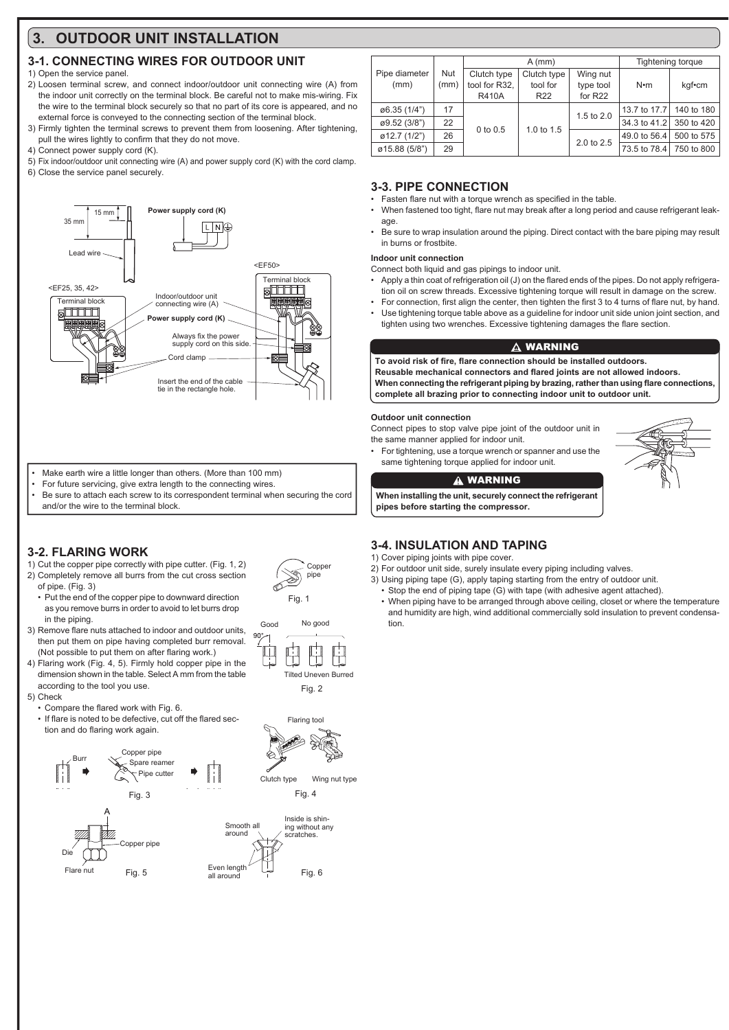# **3. OUTDOOR UNIT INSTALLATION**

# **3-1. CONNECTING WIRES FOR OUTDOOR UNIT**

## 1) Open the service panel.

- 2) Loosen terminal screw, and connect indoor/outdoor unit connecting wire (A) from the indoor unit correctly on the terminal block. Be careful not to make mis-wiring. Fix the wire to the terminal block securely so that no part of its core is appeared, and no external force is conveyed to the connecting section of the terminal block.
- 3) Firmly tighten the terminal screws to prevent them from loosening. After tightening, pull the wires lightly to confirm that they do not move.
- 4) Connect power supply cord (K).
- 5) Fix indoor/outdoor unit connecting wire (A) and power supply cord (K) with the cord clamp. 6) Close the service panel securely.



- Make earth wire a little longer than others. (More than 100 mm)
- For future servicing, give extra length to the connecting wires.
- Be sure to attach each screw to its correspondent terminal when securing the cord and/or the wire to the terminal block.

# **3-2. FLARING WORK**

- 1) Cut the copper pipe correctly with pipe cutter. (Fig. 1, 2) 2) Completely remove all burrs from the cut cross section of pipe. (Fig. 3)
- Put the end of the copper pipe to downward direction as you remove burrs in order to avoid to let burrs drop in the piping.
- 3) Remove flare nuts attached to indoor and outdoor units, then put them on pipe having completed burr removal. (Not possible to put them on after flaring work.)
- 4) Flaring work (Fig. 4, 5). Firmly hold copper pipe in the dimension shown in the table. Select A mm from the table according to the tool you use.

### 5) Check

- Compare the flared work with Fig. 6.
- If flare is noted to be defective, cut off the flared section and do flaring work again.



|  |                         | Nut<br>(mm) |               | $A$ (mm)        | Tightening torque     |              |            |
|--|-------------------------|-------------|---------------|-----------------|-----------------------|--------------|------------|
|  | Pipe diameter           |             | Clutch type   | Clutch type     | Wing nut<br>type tool | $N \cdot m$  | kgf•cm     |
|  | (mm)                    |             | tool for R32. | tool for        |                       |              |            |
|  |                         |             | <b>R410A</b>  | R <sub>22</sub> | for R22               |              |            |
|  | ø6.35 (1/4")            | 17          |               |                 | 1.5 to 2.0            | 13.7 to 17.7 | 140 to 180 |
|  | ø9.52 (3/8")            | 22          | $0$ to $0.5$  | 1.0 to 1.5      |                       | 34.3 to 41.2 | 350 to 420 |
|  | $\emptyset$ 12.7 (1/2") | 26          |               |                 | 2.0 to 2.5            | 49.0 to 56.4 | 500 to 575 |
|  | ø15.88 (5/8")           | 29          |               |                 |                       | 73.5 to 78.4 | 750 to 800 |
|  |                         |             |               |                 |                       |              |            |

## **3-3. PIPE CONNECTION**

- Fasten flare nut with a torque wrench as specified in the table
- When fastened too tight, flare nut may break after a long period and cause refrigerant leakage.
- Be sure to wrap insulation around the piping. Direct contact with the bare piping may result in burns or frostbite.

### **Indoor unit connection**

Connect both liquid and gas pipings to indoor unit.

- Apply a thin coat of refrigeration oil (J) on the flared ends of the pipes. Do not apply refrigeration oil on screw threads. Excessive tightening torque will result in damage on the screw.
- For connection, first align the center, then tighten the first 3 to 4 turns of flare nut, by hand.
- Use tightening torque table above as a guideline for indoor unit side union joint section, and tighten using two wrenches. Excessive tightening damages the flare section.

## **A WARNING**

To avoid risk of fire, flare connection should be installed outdoors. **Bausable mechanical connectors and flared joints are not allowed indoors** When connecting the refrigerant piping by brazing, rather than using flare connections. **complete all brazing prior to connecting indoor unit to outdoor unit.**

### **Outdoor unit connection**

Connect pipes to stop valve pipe joint of the outdoor unit in the same manner applied for indoor unit.

• For tightening, use a torque wrench or spanner and use the same tightening torque applied for indoor unit.

### **A WARNING**

**When installing the unit, securely connect the refrigerant pipes before starting the compressor.**

## **3-4. INSULATION AND TAPING**

1) Cover piping joints with pipe cover.

Coppe pipe

Tilted Uneven Burred

Fig. 2

Flaring tool

No good

Fig. 1

Good

 $\Box$ 

 $90^{\circ}$ 

 $\mathcal{O}$ 

- 2) For outdoor unit side, surely insulate every piping including valves.
- 3) Using piping tape (G), apply taping starting from the entry of outdoor unit.
- Stop the end of piping tape (G) with tape (with adhesive agent attached).
- When piping have to be arranged through above ceiling, closet or where the temperature and humidity are high, wind additional commercially sold insulation to prevent condensation.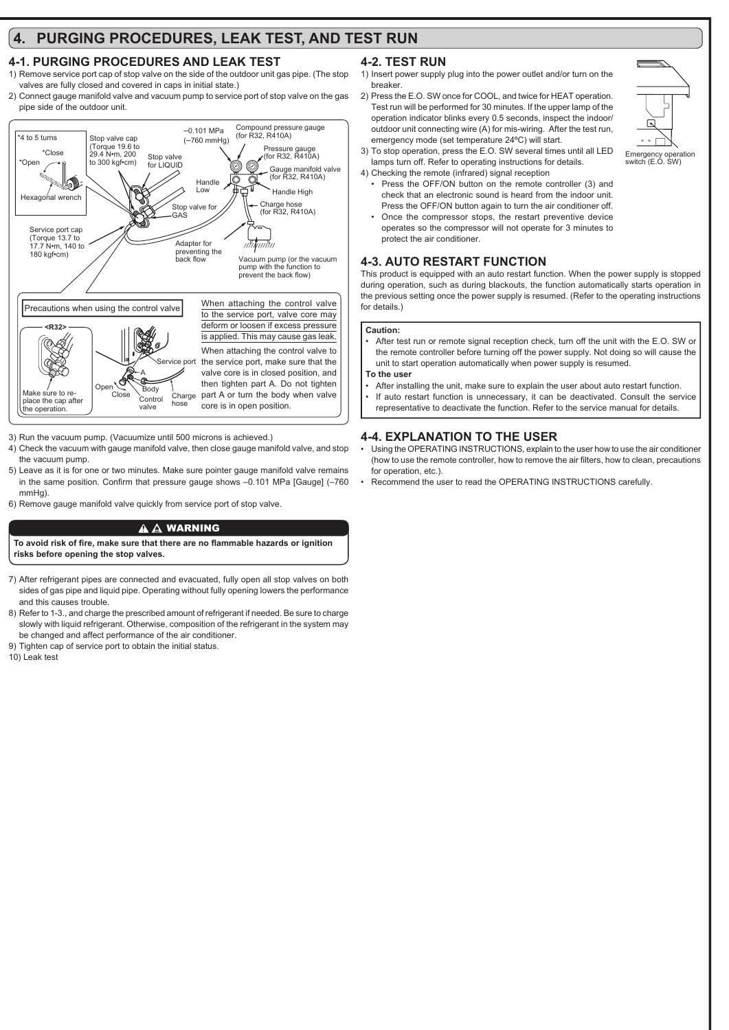# **4. PURGING PROCEDURES, LEAK TEST, AND TEST RUN**

# **4-1. PURGING PROCEDURES AND LEAK TEST**

- 1) Remove service port cap of stop valve on the side of the outdoor unit gas pipe. (The stop valves are fully closed and covered in caps in initial state.)
- 2) Connect gauge manifold valve and vacuum pump to service port of stop valve on the gas pipe side of the outdoor unit.



3) Run the vacuum pump. (Vacuumize until 500 microns is achieved.)

- 4) Check the vacuum with gauge manifold valve, then close gauge manifold valve, and stop the vacuum pump.
- 5) Leave as it is for one or two minutes. Make sure pointer gauge manifold valve remains in the same position. Confirm that pressure gauge shows -0.101 MPa [Gauge] (-760 mmHg)
- 6) Remove gauge manifold valve quickly from service port of stop valve.

## $\mathbf{A} \mathbf{A}$  WARNING

To avoid risk of fire, make sure that there are no flammable hazards or ignition **risks before opening the stop valves.**

- 7) After refrigerant pipes are connected and evacuated, fully open all stop valves on both sides of gas pipe and liquid pipe. Operating without fully opening lowers the performance and this causes trouble.
- 8) Refer to 1-3., and charge the prescribed amount of refrigerant if needed. Be sure to charge slowly with liquid refrigerant. Otherwise, composition of the refrigerant in the system may be changed and affect performance of the air conditioner.
- 9) Tighten cap of service port to obtain the initial status.

10) Leak test

# **4-2. TEST RUN**

- 1) Insert power supply plug into the power outlet and/or turn on the breaker.
- 2) Press the E.O. SW once for COOL, and twice for HEAT operation. Test run will be performed for 30 minutes. If the upper lamp of the operation indicator blinks every 0.5 seconds, inspect the indoor/ outdoor unit connecting wire (A) for mis-wiring. After the test run, emergency mode (set temperature 24ºC) will start.



- 3) To stop operation, press the E.O. SW several times until all LED lamps turn off. Refer to operating instructions for details.
- 4) Checking the remote (infrared) signal reception
- Press the OFF/ON button on the remote controller (3) and check that an electronic sound is heard from the indoor unit. Press the OFF/ON button again to turn the air conditioner off.
- Once the compressor stops, the restart preventive device operates so the compressor will not operate for 3 minutes to protect the air conditioner.

### **4-3. AUTO RESTART FUNCTION**

This product is equipped with an auto restart function. When the power supply is stopped during operation, such as during blackouts, the function automatically starts operation in the previous setting once the power supply is resumed. (Refer to the operating instructions for details.)

### **Caution:**

• After test run or remote signal reception check, turn off the unit with the E.O. SW or the remote controller before turning off the power supply. Not doing so will cause the unit to start operation automatically when power supply is resumed.

**To the user**

- After installing the unit, make sure to explain the user about auto restart function.
- If auto restart function is unnecessary, it can be deactivated. Consult the service representative to deactivate the function. Refer to the service manual for details.

## **4-4. EXPLANATION TO THE USER**

- Using the OPERATING INSTRUCTIONS, explain to the user how to use the air conditioner (how to use the remote controller, how to remove the air filters, how to clean, precautions for operation, etc.).
- Recommend the user to read the OPERATING INSTRUCTIONS carefully.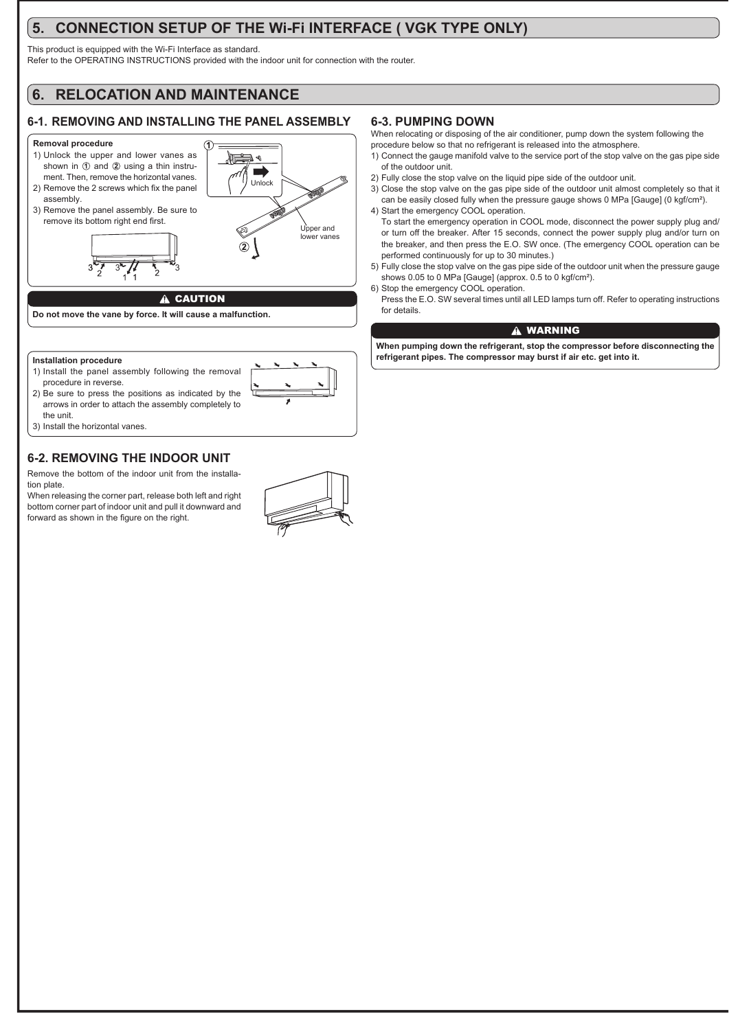# **5. CONNECTION SETUP OF THE Wi-Fi INTERFACE ( VGK TYPE ONLY)**

This product is equipped with the Wi-Fi Interface as standard.

Refer to the OPERATING INSTRUCTIONS provided with the indoor unit for connection with the router.

# **6. RELOCATION AND MAINTENANCE**

# **6-1. REMOVING AND INSTALLING THE PANEL ASSEMBLY**

### **Removal procedure**



#### **Installation procedure**

- 1) Install the panel assembly following the removal procedure in reverse.
- 2) Be sure to press the positions as indicated by the arrows in order to attach the assembly completely to the unit.



# **6-2. REMOVING THE INDOOR UNIT**

Remove the bottom of the indoor unit from the installation plate.

When releasing the corner part, release both left and right bottom corner part of indoor unit and pull it downward and forward as shown in the figure on the right.



## **6-3. PUMPING DOWN**

When relocating or disposing of the air conditioner, pump down the system following the procedure below so that no refrigerant is released into the atmosphere.

- 1) Connect the gauge manifold valve to the service port of the stop valve on the gas pipe side of the outdoor unit.
- 2) Fully close the stop valve on the liquid pipe side of the outdoor unit.
- 3) Close the stop valve on the gas pipe side of the outdoor unit almost completely so that it can be easily closed fully when the pressure gauge shows 0 MPa [Gauge] (0 kgf/cm<sup>2</sup>).

4) Start the emergency COOL operation. To start the emergency operation in COOL mode, disconnect the power supply plug and/ or turn off the breaker. After 15 seconds, connect the power supply plug and/or turn on the breaker, and then press the E.O. SW once. (The emergency COOL operation can be performed continuously for up to 30 minutes.)

- 5) Fully close the stop valve on the gas pipe side of the outdoor unit when the pressure gauge shows 0.05 to 0 MPa [Gauge] (approx. 0.5 to 0 kgf/cm<sup>2</sup>).
- 6) Stop the emergency COOL operation.
- Press the E.O. SW several times until all LED lamps turn off. Refer to operating instructions for details.

### **A WARNING**

**When pumping down the refrigerant, stop the compressor before disconnecting the refrigerant pipes. The compressor may burst if air etc. get into it.**